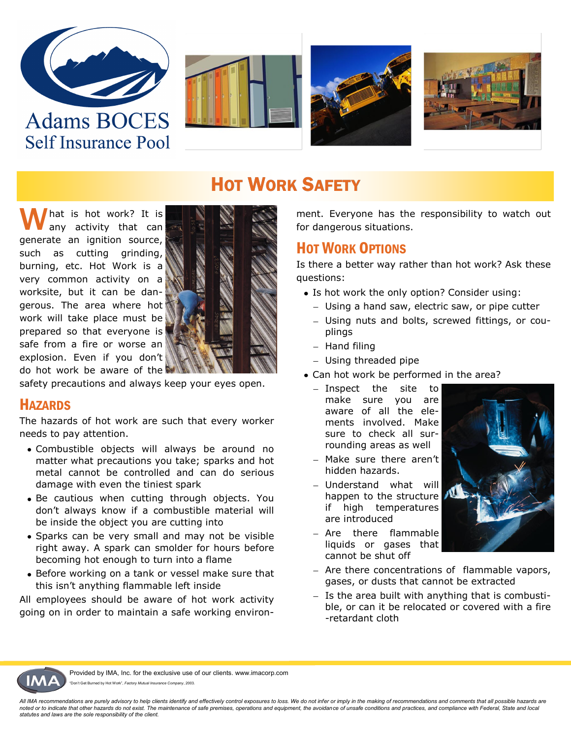







## **HOT WORK SAFETY**

hat is hot work? It is any activity that can generate an ignition source, such as cutting grinding, burning, etc. Hot Work is a very common activity on a worksite, but it can be dangerous. The area where hot work will take place must be prepared so that everyone is safe from a fire or worse an explosion. Even if you don't do hot work be aware of the



safety precautions and always keep your eyes open.

#### **HAZARDS**

The hazards of hot work are such that every worker needs to pay attention.

- Combustible objects will always be around no matter what precautions you take; sparks and hot metal cannot be controlled and can do serious damage with even the tiniest spark
- Be cautious when cutting through objects. You don't always know if a combustible material will be inside the object you are cutting into
- Sparks can be very small and may not be visible right away. A spark can smolder for hours before becoming hot enough to turn into a flame
- Before working on a tank or vessel make sure that this isn't anything flammable left inside

All employees should be aware of hot work activity going on in order to maintain a safe working environment. Everyone has the responsibility to watch out for dangerous situations.

## HOT WORK OPTIONS

Is there a better way rather than hot work? Ask these questions:

- Is hot work the only option? Consider using:
	- Using a hand saw, electric saw, or pipe cutter
	- Using nuts and bolts, screwed fittings, or couplings
	- $-$  Hand filing
	- Using threaded pipe
- Can hot work be performed in the area?
	- Inspect the site to make sure you are aware of all the elements involved. Make sure to check all surrounding areas as well
	- Make sure there aren't hidden hazards.
	- Understand what will happen to the structure if high temperatures are introduced
	- Are there flammable liquids or gases that cannot be shut off
- 
- Are there concentrations of flammable vapors, gases, or dusts that cannot be extracted
- $-$  Is the area built with anything that is combustible, or can it be relocated or covered with a fire -retardant cloth



Provided by IMA, Inc. for the exclusive use of our clients. www.imacorp.com n't Get Burned by Hot Work", Factory Mutual Insurance Company, 2003.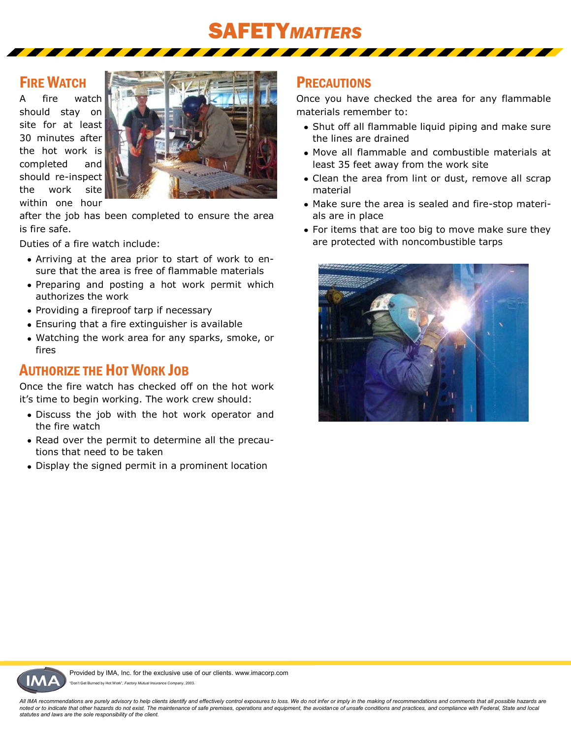# SAFETY*MATTERS*

#### FIRE WATCH

A fire watch should stay on site for at least 30 minutes after the hot work is completed and should re-inspect the work site within one hour



after the job has been completed to ensure the area is fire safe.

Duties of a fire watch include:

- Arriving at the area prior to start of work to ensure that the area is free of flammable materials
- Preparing and posting a hot work permit which authorizes the work
- Providing a fireproof tarp if necessary
- Ensuring that a fire extinguisher is available
- Watching the work area for any sparks, smoke, or fires

## AUTHORIZE THE HOT WORK JOB

Once the fire watch has checked off on the hot work it's time to begin working. The work crew should:

- Discuss the job with the hot work operator and the fire watch
- Read over the permit to determine all the precautions that need to be taken
- Display the signed permit in a prominent location

## **PRECAUTIONS**

Once you have checked the area for any flammable materials remember to:

- Shut off all flammable liquid piping and make sure the lines are drained
- Move all flammable and combustible materials at least 35 feet away from the work site
- Clean the area from lint or dust, remove all scrap material
- Make sure the area is sealed and fire-stop materials are in place
- For items that are too big to move make sure they are protected with noncombustible tarps



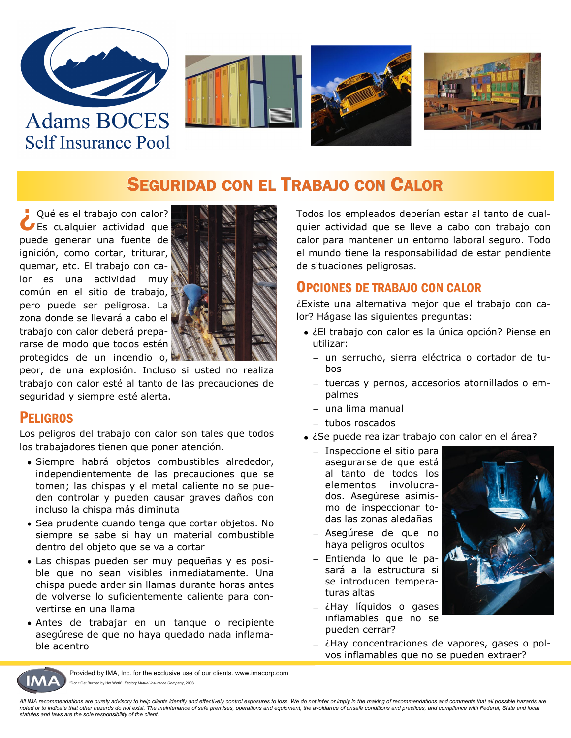







## SEGURIDAD CON EL TRABAJO CON CALOR

¿Qué es el trabajo con calor? Es cualquier actividad que puede generar una fuente de ignición, como cortar, triturar, quemar, etc. El trabajo con calor es una actividad muy común en el sitio de trabajo, pero puede ser peligrosa. La zona donde se llevará a cabo el trabajo con calor deberá prepararse de modo que todos estén protegidos de un incendio o,



peor, de una explosión. Incluso si usted no realiza trabajo con calor esté al tanto de las precauciones de seguridad y siempre esté alerta.

#### **PELIGROS**

Los peligros del trabajo con calor son tales que todos los trabajadores tienen que poner atención.

- Siempre habrá objetos combustibles alrededor, independientemente de las precauciones que se tomen; las chispas y el metal caliente no se pueden controlar y pueden causar graves daños con incluso la chispa más diminuta
- Sea prudente cuando tenga que cortar objetos. No siempre se sabe si hay un material combustible dentro del objeto que se va a cortar
- Las chispas pueden ser muy pequeñas y es posible que no sean visibles inmediatamente. Una chispa puede arder sin llamas durante horas antes de volverse lo suficientemente caliente para convertirse en una llama
- Antes de trabajar en un tanque o recipiente asegúrese de que no haya quedado nada inflamable adentro

Todos los empleados deberían estar al tanto de cualquier actividad que se lleve a cabo con trabajo con calor para mantener un entorno laboral seguro. Todo el mundo tiene la responsabilidad de estar pendiente de situaciones peligrosas.

### OPCIONES DE TRABAJO CON CALOR

¿Existe una alternativa mejor que el trabajo con calor? Hágase las siguientes preguntas:

- ¿El trabajo con calor es la única opción? Piense en utilizar:
	- un serrucho, sierra eléctrica o cortador de tubos
	- tuercas y pernos, accesorios atornillados o empalmes
	- una lima manual
	- tubos roscados
- ¿Se puede realizar trabajo con calor en el área?
	- Inspeccione el sitio para asegurarse de que está al tanto de todos los elementos involucrados. Asegúrese asimismo de inspeccionar todas las zonas aledañas
	- Asegúrese de que no haya peligros ocultos
	- Entienda lo que le pasará a la estructura si se introducen temperaturas altas
	- $-$  ¿Hay líquidos o gases inflamables que no se pueden cerrar?



¿Hay concentraciones de vapores, gases o polvos inflamables que no se pueden extraer?



Provided by IMA, Inc. for the exclusive use of our clients. www.imacorp.com on't Get Burned by Hot Work", Factory Mutual Insurance Company, 2003.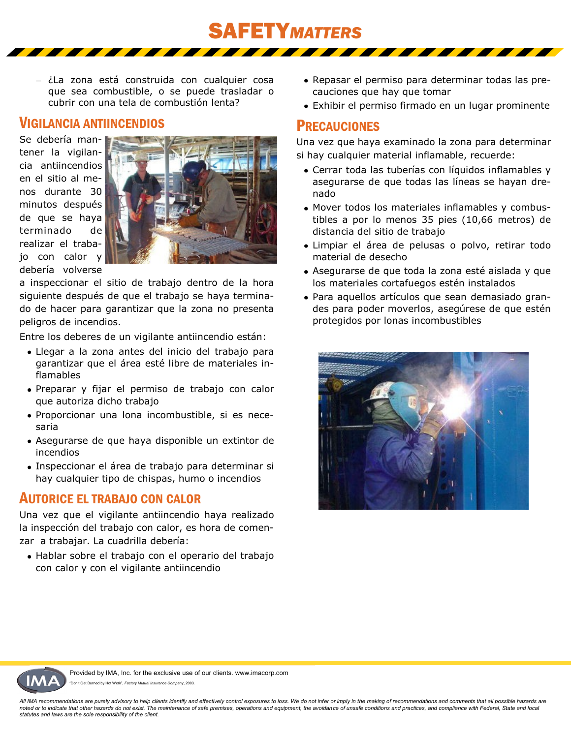- ¿La zona está construida con cualquier cosa que sea combustible, o se puede trasladar o cubrir con una tela de combustión lenta?

#### VIGILANCIA ANTIINCENDIOS

Se debería mantener la vigilancia antiincendios en el sitio al menos durante 30 minutos después de que se haya terminado de realizar el trabajo con calor y debería volverse



a inspeccionar el sitio de trabajo dentro de la hora siguiente después de que el trabajo se haya terminado de hacer para garantizar que la zona no presenta peligros de incendios.

Entre los deberes de un vigilante antiincendio están:

- Llegar a la zona antes del inicio del trabajo para garantizar que el área esté libre de materiales inflamables
- Preparar y fijar el permiso de trabajo con calor que autoriza dicho trabajo
- Proporcionar una lona incombustible, si es necesaria
- Asegurarse de que haya disponible un extintor de incendios
- Inspeccionar el área de trabajo para determinar si hay cualquier tipo de chispas, humo o incendios

#### AUTORICE EL TRABAJO CON CALOR

Una vez que el vigilante antiincendio haya realizado la inspección del trabajo con calor, es hora de comenzar a trabajar. La cuadrilla debería:

Hablar sobre el trabajo con el operario del trabajo con calor y con el vigilante antiincendio

- Repasar el permiso para determinar todas las precauciones que hay que tomar
- Exhibir el permiso firmado en un lugar prominente

#### **PRECAUCIONES**

SAFETY*MATTERS*

Una vez que haya examinado la zona para determinar si hay cualquier material inflamable, recuerde:

- Cerrar toda las tuberías con líquidos inflamables y asegurarse de que todas las líneas se hayan drenado
- Mover todos los materiales inflamables y combustibles a por lo menos 35 pies (10,66 metros) de distancia del sitio de trabajo
- Limpiar el área de pelusas o polvo, retirar todo material de desecho
- Asegurarse de que toda la zona esté aislada y que los materiales cortafuegos estén instalados
- Para aquellos artículos que sean demasiado grandes para poder moverlos, asegúrese de que estén protegidos por lonas incombustibles





Provided by IMA, Inc. for the exclusive use of our clients. www.imacorp.com n't Get Burned by Hot Work", Factory Mutual Insurance Company, 2003.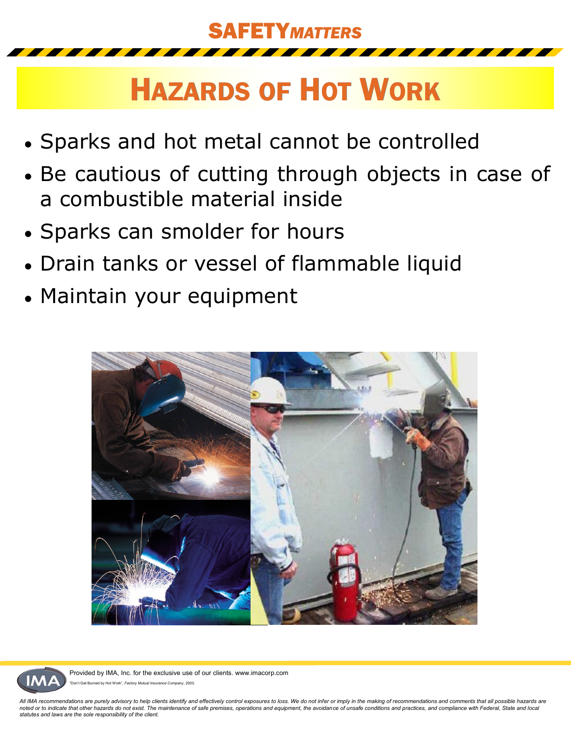

# HAZARDS OF HOT WORK

- Sparks and hot metal cannot be controlled
- Be cautious of cutting through objects in case of a combustible material inside
- Sparks can smolder for hours
- Drain tanks or vessel of flammable liquid
- Maintain your equipment





Provided by IMA, Inc. for the exclusive use of our clients. www.imacorp.com ned by Hot Work", Factory Mutual Insurance Company, 2003.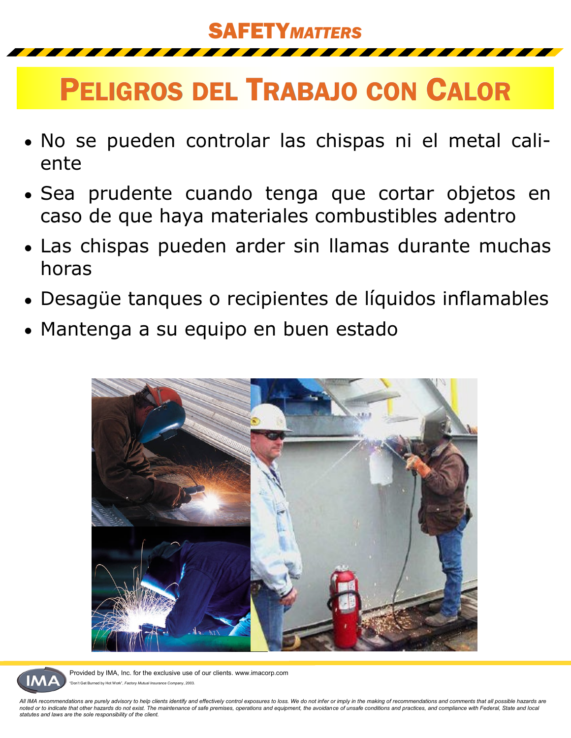## SAFETY*MATTERS*

# PELIGROS DEL TRABAJO CON CALOR

- No se pueden controlar las chispas ni el metal caliente
- Sea prudente cuando tenga que cortar objetos en caso de que haya materiales combustibles adentro
- Las chispas pueden arder sin llamas durante muchas horas
- Desagüe tanques o recipientes de líquidos inflamables
- Mantenga a su equipo en buen estado





Provided by IMA, Inc. for the exclusive use of our clients. www.imacorp.com Burned by Hot Work", Factory Mutual Insurance Company, 2003.